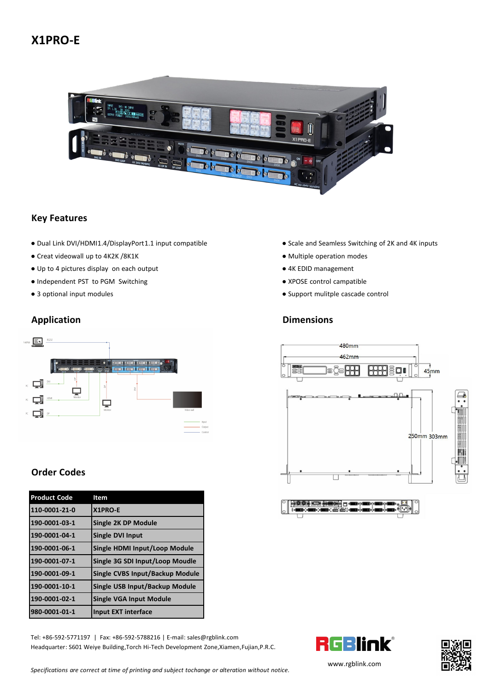# **X1PRO-E**



#### **Key Features**

- Dual Link DVI/HDMI1.4/DisplayPort1.1 input compatible Scale and Seamless Switching of 2K and 4K inputs
- Creat videowall up to 4K2K /8K1K → Multiple operation modes
- Up to 4 pictures display on each output <br>● 4K EDID management
- Independent PST to PGM Switching extending the state of the Structure of Structure and Theorem and Theorem and Theorem and Theorem and Theorem and Theorem and Theorem and Theorem and Theorem and Theorem and Theorem and
- 



## **Order Codes**

| <b>Product Code</b> | Item                            |                                                                             |
|---------------------|---------------------------------|-----------------------------------------------------------------------------|
| 110-0001-21-0       | X1PRO-E                         | <b>PLACE ASSESSED BEEN COMPUTER</b><br>He and it is a serious (the $(\cup)$ |
| 190-0001-03-1       | Single 2K DP Module             |                                                                             |
| 190-0001-04-1       | Single DVI Input                |                                                                             |
| 190-0001-06-1       | Single HDMI Input/Loop Module   |                                                                             |
| 190-0001-07-1       | Single 3G SDI Input/Loop Moudle |                                                                             |
| 190-0001-09-1       | Single CVBS Input/Backup Module |                                                                             |
| 190-0001-10-1       | Single USB Input/Backup Module  |                                                                             |
| 190-0001-02-1       | Single VGA Input Module         |                                                                             |
| 980-0001-01-1       | Input EXT interface             |                                                                             |

Tel: +86-592-5771197 | Fax: +86-592-5788216 | E-mail: sales@rgblink.com<br>Headquarter: S601 Weiye Building,Torch Hi-Tech Development Zone,Xiamen,Fujian,P.R.C. Headquarter: S601 Weiye Building,Torch Hi-Tech Development Zone,Xiamen,Fujian,P.R.C.

- 
- 
- 
- 
- 3 optional input modules Support mulitple cascade control

### **Application Dimensions**





[www.rgbl](http://www.rgblink.com)ink.com